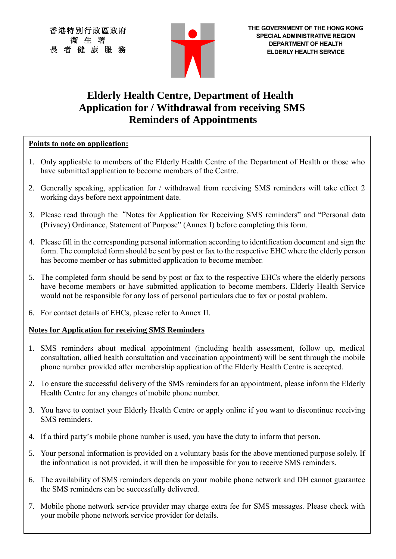香港特別行政區政府 衞 生 署 長 者 健 康 服 務



# **Elderly Health Centre, Department of Health Application for / Withdrawal from receiving SMS Reminders of Appointments**

#### **Points to note on application:**

- 1. Only applicable to members of the Elderly Health Centre of the Department of Health or those who have submitted application to become members of the Centre.
- 2. Generally speaking, application for / withdrawal from receiving SMS reminders will take effect 2 working days before next appointment date.
- 3. Please read through the"Notes for Application for Receiving SMS reminders" and "Personal data (Privacy) Ordinance, Statement of Purpose" (Annex I) before completing this form.
- 4. Please fill in the corresponding personal information according to identification document and sign the form. The completed form should be sent by post or fax to the respective EHC where the elderly person has become member or has submitted application to become member.
- 5. The completed form should be send by post or fax to the respective EHCs where the elderly persons have become members or have submitted application to become members. Elderly Health Service would not be responsible for any loss of personal particulars due to fax or postal problem.
- 6. For contact details of EHCs, please refer to Annex II.

### **Notes for Application for receiving SMS Reminders**

- 1. SMS reminders about medical appointment (including health assessment, follow up, medical consultation, allied health consultation and vaccination appointment) will be sent through the mobile phone number provided after membership application of the Elderly Health Centre is accepted.
- 2. To ensure the successful delivery of the SMS reminders for an appointment, please inform the Elderly Health Centre for any changes of mobile phone number.
- 3. You have to contact your Elderly Health Centre or apply online if you want to discontinue receiving SMS reminders.
- 4. If a third party's mobile phone number is used, you have the duty to inform that person.
- 5. Your personal information is provided on a voluntary basis for the above mentioned purpose solely. If the information is not provided, it will then be impossible for you to receive SMS reminders.
- 6. The availability of SMS reminders depends on your mobile phone network and DH cannot guarantee the SMS reminders can be successfully delivered.
- 7. Mobile phone network service provider may charge extra fee for SMS messages. Please check with your mobile phone network service provider for details.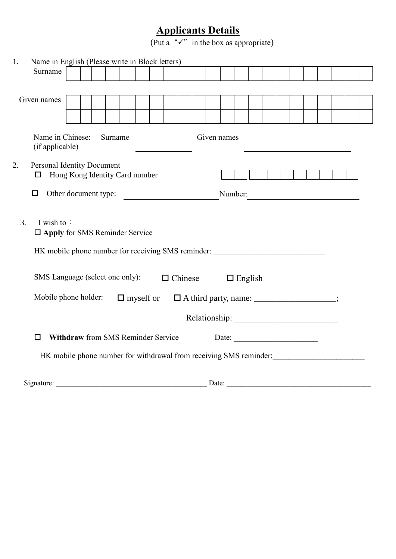## **Applicants Details**

(Put a " $\checkmark$ " in the box as appropriate)

| 1.<br>Surname                                                                            | Name in English (Please write in Block letters)                                                                                              |  |  |         |  |  |  |  |  |                |                |  |  |                       |  |  |  |
|------------------------------------------------------------------------------------------|----------------------------------------------------------------------------------------------------------------------------------------------|--|--|---------|--|--|--|--|--|----------------|----------------|--|--|-----------------------|--|--|--|
|                                                                                          |                                                                                                                                              |  |  |         |  |  |  |  |  |                |                |  |  |                       |  |  |  |
| Given names                                                                              |                                                                                                                                              |  |  |         |  |  |  |  |  |                |                |  |  |                       |  |  |  |
|                                                                                          |                                                                                                                                              |  |  |         |  |  |  |  |  |                |                |  |  |                       |  |  |  |
|                                                                                          |                                                                                                                                              |  |  |         |  |  |  |  |  |                |                |  |  |                       |  |  |  |
|                                                                                          | Name in Chinese:<br>(if applicable)                                                                                                          |  |  | Surname |  |  |  |  |  | Given names    |                |  |  |                       |  |  |  |
| 2.<br>□                                                                                  | <b>Personal Identity Document</b><br>Hong Kong Identity Card number                                                                          |  |  |         |  |  |  |  |  |                |                |  |  |                       |  |  |  |
| □                                                                                        | Other document type:<br>Number:<br><u> 1989 - Andrea Station Books, amerikansk politik (</u>                                                 |  |  |         |  |  |  |  |  |                |                |  |  |                       |  |  |  |
| 3.                                                                                       | I wish to:<br>$\Box$ Apply for SMS Reminder Service<br>HK mobile phone number for receiving SMS reminder:<br>SMS Language (select one only): |  |  |         |  |  |  |  |  | $\Box$ Chinese | $\Box$ English |  |  |                       |  |  |  |
| Mobile phone holder:<br>$\Box$ A third party, name: _______________;<br>$\Box$ myself or |                                                                                                                                              |  |  |         |  |  |  |  |  |                |                |  |  |                       |  |  |  |
|                                                                                          |                                                                                                                                              |  |  |         |  |  |  |  |  |                |                |  |  |                       |  |  |  |
| п                                                                                        | <b>Withdraw</b> from SMS Reminder Service                                                                                                    |  |  |         |  |  |  |  |  |                |                |  |  | Date: $\qquad \qquad$ |  |  |  |
| HK mobile phone number for withdrawal from receiving SMS reminder:                       |                                                                                                                                              |  |  |         |  |  |  |  |  |                |                |  |  |                       |  |  |  |
| Signature:                                                                               |                                                                                                                                              |  |  |         |  |  |  |  |  | Date:          |                |  |  |                       |  |  |  |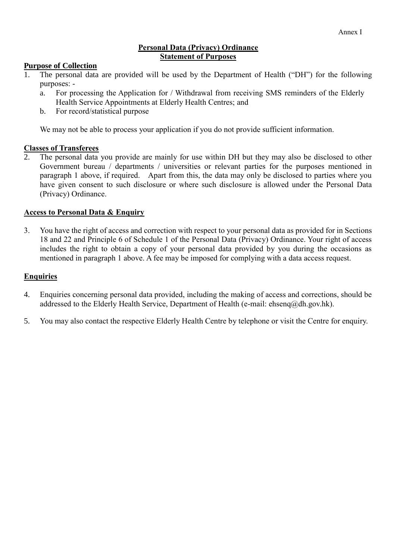#### **Personal Data (Privacy) Ordinance Statement of Purposes**

#### **Purpose of Collection**

- 1. The personal data are provided will be used by the Department of Health ("DH") for the following purposes:
	- a. For processing the Application for / Withdrawal from receiving SMS reminders of the Elderly Health Service Appointments at Elderly Health Centres; and
	- b. For record/statistical purpose

We may not be able to process your application if you do not provide sufficient information.

#### **Classes of Transferees**

2. The personal data you provide are mainly for use within DH but they may also be disclosed to other Government bureau / departments / universities or relevant parties for the purposes mentioned in paragraph 1 above, if required. Apart from this, the data may only be disclosed to parties where you have given consent to such disclosure or where such disclosure is allowed under the Personal Data (Privacy) Ordinance.

#### **Access to Personal Data & Enquiry**

3. You have the right of access and correction with respect to your personal data as provided for in Sections 18 and 22 and Principle 6 of Schedule 1 of the Personal Data (Privacy) Ordinance. Your right of access includes the right to obtain a copy of your personal data provided by you during the occasions as mentioned in paragraph 1 above. A fee may be imposed for complying with a data access request.

#### **Enquiries**

- 4. Enquiries concerning personal data provided, including the making of access and corrections, should be addressed to the Elderly Health Service, Department of Health (e-mail: ehsen $q\omega$ dh.gov.hk).
- 5. You may also contact the respective Elderly Health Centre by telephone or visit the Centre for enquiry.